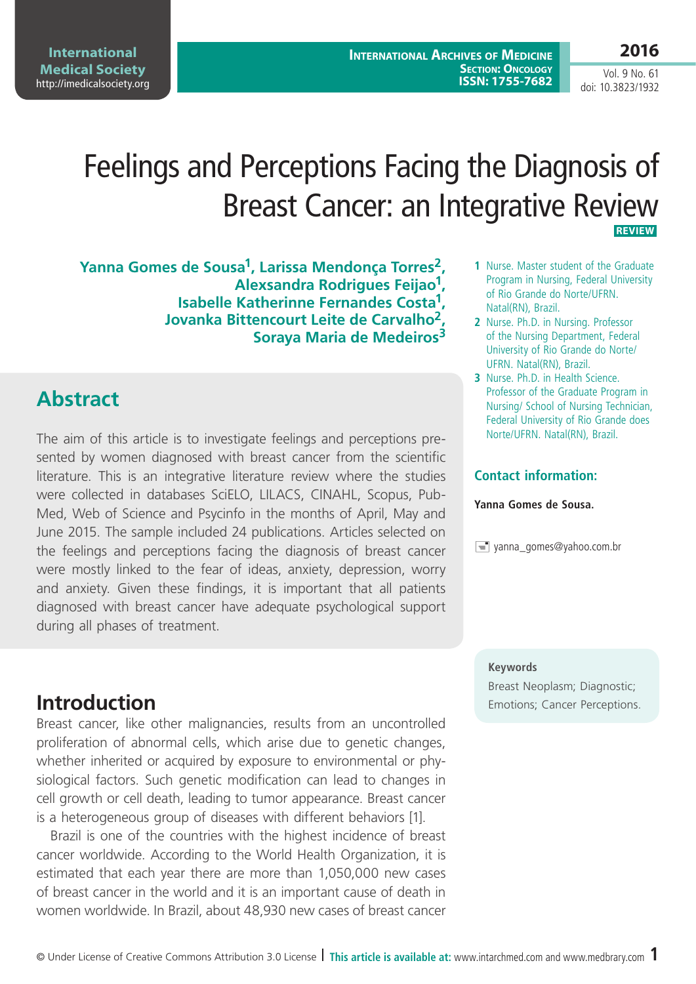**2016**

# Feelings and Perceptions Facing the Diagnosis of Breast Cancer: an Integrative Review  **Review**

**Yanna Gomes de Sousa1, Larissa Mendonça Torres2, Alexsandra Rodrigues Feijao1, Isabelle Katherinne Fernandes Costa1, Jovanka Bittencourt Leite de Carvalho2, Soraya Maria de Medeiros3**

## **Abstract**

**International Medical Society**  <http://imedicalsociety.org>

The aim of this article is to investigate feelings and perceptions presented by women diagnosed with breast cancer from the scientific literature. This is an integrative literature review where the studies were collected in databases SciELO, LILACS, CINAHL, Scopus, Pub-Med, Web of Science and Psycinfo in the months of April, May and June 2015. The sample included 24 publications. Articles selected on the feelings and perceptions facing the diagnosis of breast cancer were mostly linked to the fear of ideas, anxiety, depression, worry and anxiety. Given these findings, it is important that all patients diagnosed with breast cancer have adequate psychological support during all phases of treatment.

#### **1** Nurse. Master student of the Graduate Program in Nursing, Federal University of Rio Grande do Norte/UFRN. Natal(RN), Brazil.

- **2** Nurse. Ph.D. in Nursing. Professor of the Nursing Department, Federal University of Rio Grande do Norte/ UFRN. Natal(RN), Brazil.
- **3** Nurse. Ph.D. in Health Science. Professor of the Graduate Program in Nursing/ School of Nursing Technician, Federal University of Rio Grande does Norte/UFRN. Natal(RN), Brazil.

### **Contact information:**

#### **Yanna Gomes de Sousa.**

 $\equiv$  yanna\_gomes@yahoo.com.br

#### **Keywords**

Breast Neoplasm; Diagnostic; **Introduction** Emotions; Cancer Perceptions.

Breast cancer, like other malignancies, results from an uncontrolled proliferation of abnormal cells, which arise due to genetic changes, whether inherited or acquired by exposure to environmental or physiological factors. Such genetic modification can lead to changes in cell growth or cell death, leading to tumor appearance. Breast cancer is a heterogeneous group of diseases with different behaviors [1].

Brazil is one of the countries with the highest incidence of breast cancer worldwide. According to the World Health Organization, it is estimated that each year there are more than 1,050,000 new cases of breast cancer in the world and it is an important cause of death in women worldwide. In Brazil, about 48,930 new cases of breast cancer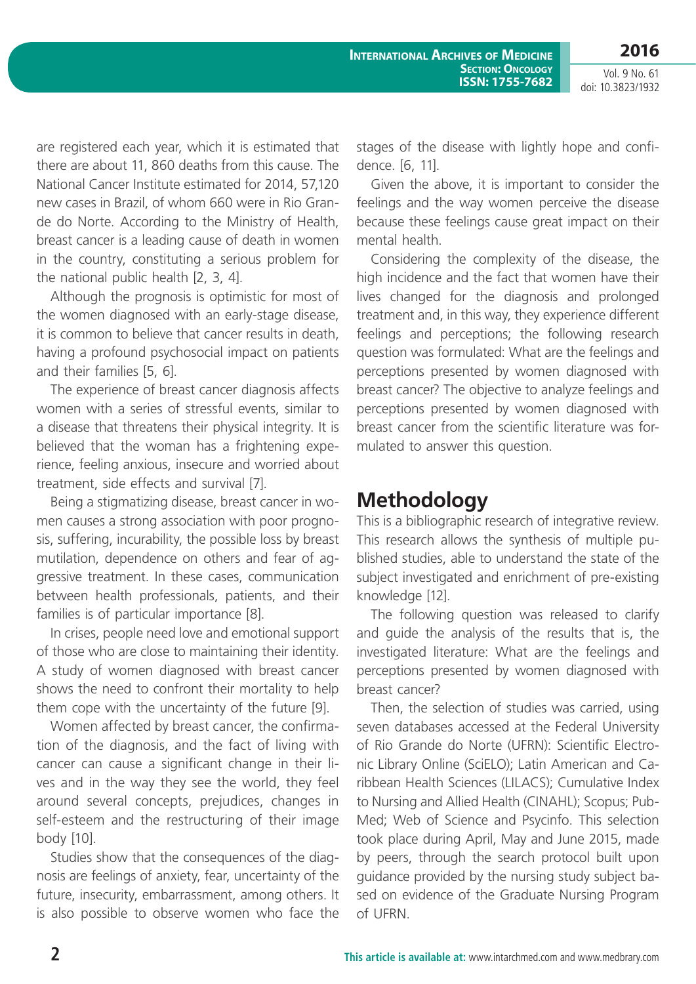are registered each year, which it is estimated that there are about 11, 860 deaths from this cause. The National Cancer Institute estimated for 2014, 57,120 new cases in Brazil, of whom 660 were in Rio Grande do Norte. According to the Ministry of Health, breast cancer is a leading cause of death in women in the country, constituting a serious problem for the national public health [2, 3, 4].

Although the prognosis is optimistic for most of the women diagnosed with an early-stage disease, it is common to believe that cancer results in death, having a profound psychosocial impact on patients and their families [5, 6].

The experience of breast cancer diagnosis affects women with a series of stressful events, similar to a disease that threatens their physical integrity. It is believed that the woman has a frightening experience, feeling anxious, insecure and worried about treatment, side effects and survival [7].

Being a stigmatizing disease, breast cancer in women causes a strong association with poor prognosis, suffering, incurability, the possible loss by breast mutilation, dependence on others and fear of aggressive treatment. In these cases, communication between health professionals, patients, and their families is of particular importance [8].

In crises, people need love and emotional support of those who are close to maintaining their identity. A study of women diagnosed with breast cancer shows the need to confront their mortality to help them cope with the uncertainty of the future [9].

Women affected by breast cancer, the confirmation of the diagnosis, and the fact of living with cancer can cause a significant change in their lives and in the way they see the world, they feel around several concepts, prejudices, changes in self-esteem and the restructuring of their image body [10].

Studies show that the consequences of the diagnosis are feelings of anxiety, fear, uncertainty of the future, insecurity, embarrassment, among others. It is also possible to observe women who face the stages of the disease with lightly hope and confidence. [6, 11].

Given the above, it is important to consider the feelings and the way women perceive the disease because these feelings cause great impact on their mental health.

Considering the complexity of the disease, the high incidence and the fact that women have their lives changed for the diagnosis and prolonged treatment and, in this way, they experience different feelings and perceptions; the following research question was formulated: What are the feelings and perceptions presented by women diagnosed with breast cancer? The objective to analyze feelings and perceptions presented by women diagnosed with breast cancer from the scientific literature was formulated to answer this question.

### **Methodology**

This is a bibliographic research of integrative review. This research allows the synthesis of multiple published studies, able to understand the state of the subject investigated and enrichment of pre-existing knowledge [12].

The following question was released to clarify and guide the analysis of the results that is, the investigated literature: What are the feelings and perceptions presented by women diagnosed with breast cancer?

Then, the selection of studies was carried, using seven databases accessed at the Federal University of Rio Grande do Norte (UFRN): Scientific Electronic Library Online (SciELO); Latin American and Caribbean Health Sciences (LILACS); Cumulative Index to Nursing and Allied Health (CINAHL); Scopus; Pub-Med; Web of Science and Psycinfo. This selection took place during April, May and June 2015, made by peers, through the search protocol built upon guidance provided by the nursing study subject based on evidence of the Graduate Nursing Program of UFRN.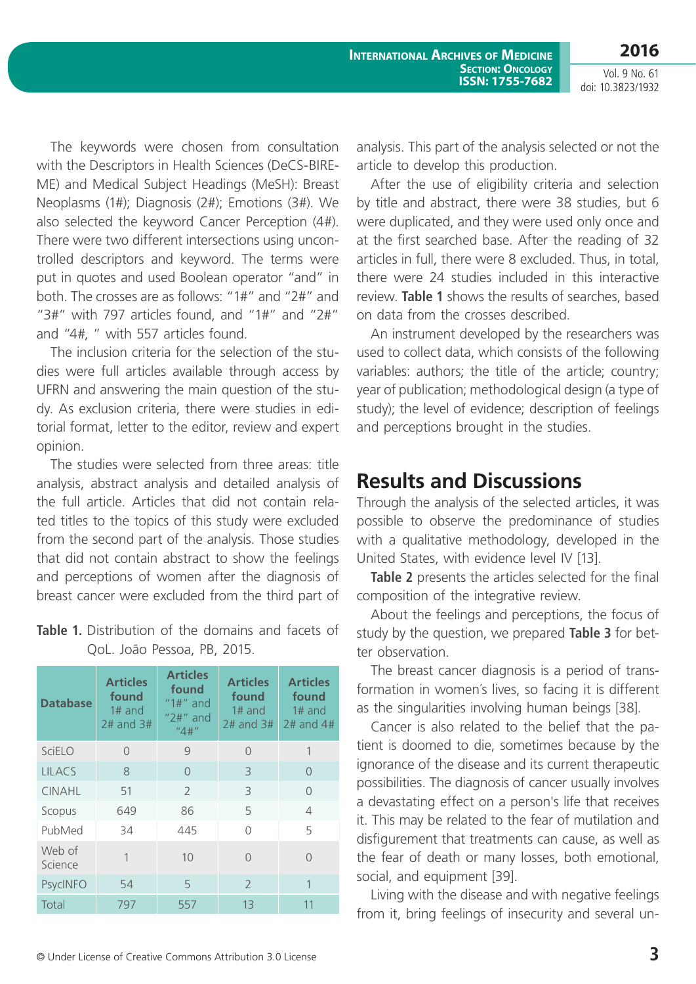The keywords were chosen from consultation with the Descriptors in Health Sciences (DeCS-BIRE-ME) and Medical Subject Headings (MeSH): Breast Neoplasms (1#); Diagnosis (2#); Emotions (3#). We also selected the keyword Cancer Perception (4#). There were two different intersections using uncontrolled descriptors and keyword. The terms were put in quotes and used Boolean operator "and" in both. The crosses are as follows: "1#" and "2#" and "3#" with 797 articles found, and "1#" and "2#" and "4#, " with 557 articles found.

The inclusion criteria for the selection of the studies were full articles available through access by UFRN and answering the main question of the study. As exclusion criteria, there were studies in editorial format, letter to the editor, review and expert opinion.

The studies were selected from three areas: title analysis, abstract analysis and detailed analysis of the full article. Articles that did not contain related titles to the topics of this study were excluded from the second part of the analysis. Those studies that did not contain abstract to show the feelings and perceptions of women after the diagnosis of breast cancer were excluded from the third part of

| <b>Database</b>   | <b>Articles</b><br>found<br>$1#$ and<br>$2#$ and $3#$ | <b>Articles</b><br>found<br>$"1#"$ and<br>$"2#"$ and<br>''4#'' | <b>Articles</b><br>found<br>$1#$ and<br>$2#$ and $3#$ | <b>Articles</b><br>found<br>$1#$ and<br>$2#$ and $4#$ |
|-------------------|-------------------------------------------------------|----------------------------------------------------------------|-------------------------------------------------------|-------------------------------------------------------|
| SciELO            | 0                                                     | 9                                                              | $\Omega$                                              | 1                                                     |
| <b>LILACS</b>     | 8                                                     | $\cap$                                                         | 3                                                     | $\bigcap$                                             |
| <b>CINAHL</b>     | 51                                                    | $\mathcal{P}$                                                  | 3                                                     | $\cap$                                                |
| Scopus            | 649                                                   | 86                                                             | 5                                                     | $\overline{4}$                                        |
| PubMed            | 34                                                    | 445                                                            | ∩                                                     | 5                                                     |
| Web of<br>Science | 1                                                     | 10                                                             | $\cap$                                                |                                                       |
| <b>PsycINFO</b>   | 54                                                    | 5                                                              | $\mathcal{P}$                                         | 1                                                     |
| Total             | 797                                                   | 557                                                            | 13                                                    | 11                                                    |

#### **Table 1.** Distribution of the domains and facets of QoL. João Pessoa, PB, 2015.

analysis. This part of the analysis selected or not the article to develop this production.

After the use of eligibility criteria and selection by title and abstract, there were 38 studies, but 6 were duplicated, and they were used only once and at the first searched base. After the reading of 32 articles in full, there were 8 excluded. Thus, in total, there were 24 studies included in this interactive review. **Table 1** shows the results of searches, based on data from the crosses described.

An instrument developed by the researchers was used to collect data, which consists of the following variables: authors; the title of the article; country; year of publication; methodological design (a type of study); the level of evidence; description of feelings and perceptions brought in the studies.

## **Results and Discussions**

Through the analysis of the selected articles, it was possible to observe the predominance of studies with a qualitative methodology, developed in the United States, with evidence level IV [13].

**Table 2** presents the articles selected for the final composition of the integrative review.

About the feelings and perceptions, the focus of study by the question, we prepared **Table 3** for better observation.

The breast cancer diagnosis is a period of transformation in women´s lives, so facing it is different as the singularities involving human beings [38].

Cancer is also related to the belief that the patient is doomed to die, sometimes because by the ignorance of the disease and its current therapeutic possibilities. The diagnosis of cancer usually involves a devastating effect on a person's life that receives it. This may be related to the fear of mutilation and disfigurement that treatments can cause, as well as the fear of death or many losses, both emotional, social, and equipment [39].

Living with the disease and with negative feelings from it, bring feelings of insecurity and several un-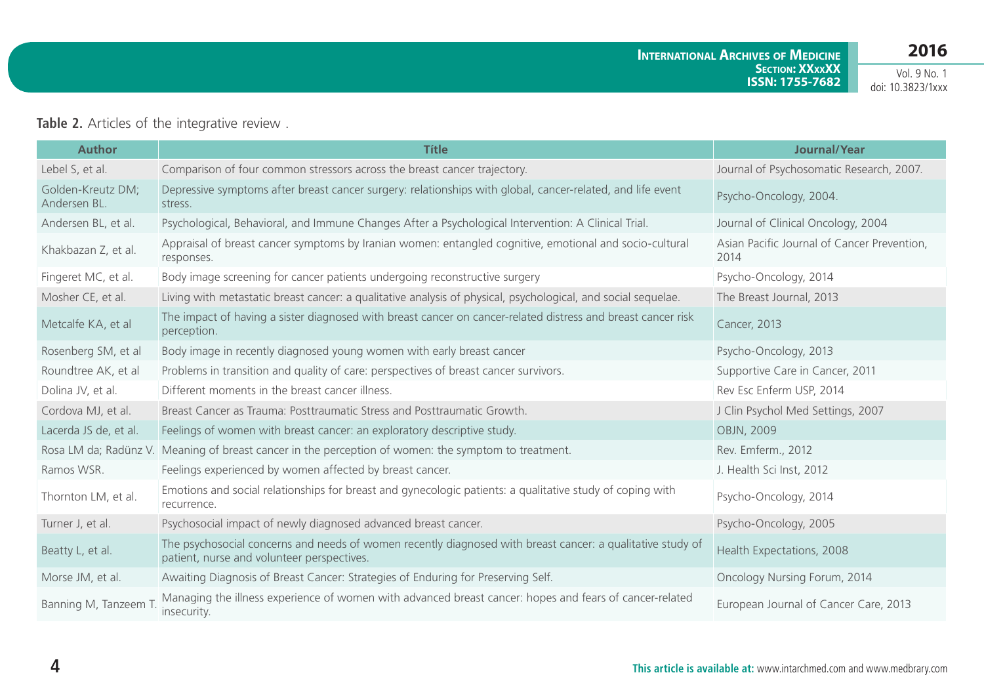#### **Table 2.** Articles of the integrative review .

| <b>Author</b>                     | <b>Títle</b>                                                                                                                                             | Journal/Year                                        |
|-----------------------------------|----------------------------------------------------------------------------------------------------------------------------------------------------------|-----------------------------------------------------|
| Lebel S, et al.                   | Comparison of four common stressors across the breast cancer trajectory.                                                                                 | Journal of Psychosomatic Research, 2007.            |
| Golden-Kreutz DM;<br>Andersen BL. | Depressive symptoms after breast cancer surgery: relationships with global, cancer-related, and life event<br>stress.                                    | Psycho-Oncology, 2004.                              |
| Andersen BL, et al.               | Psychological, Behavioral, and Immune Changes After a Psychological Intervention: A Clinical Trial.                                                      | Journal of Clinical Oncology, 2004                  |
| Khakbazan Z, et al.               | Appraisal of breast cancer symptoms by Iranian women: entangled cognitive, emotional and socio-cultural<br>responses.                                    | Asian Pacific Journal of Cancer Prevention,<br>2014 |
| Fingeret MC, et al.               | Body image screening for cancer patients undergoing reconstructive surgery                                                                               | Psycho-Oncology, 2014                               |
| Mosher CE, et al.                 | Living with metastatic breast cancer: a qualitative analysis of physical, psychological, and social sequelae.                                            | The Breast Journal, 2013                            |
| Metcalfe KA, et al                | The impact of having a sister diagnosed with breast cancer on cancer-related distress and breast cancer risk<br>perception.                              | <b>Cancer, 2013</b>                                 |
| Rosenberg SM, et al               | Body image in recently diagnosed young women with early breast cancer                                                                                    | Psycho-Oncology, 2013                               |
| Roundtree AK, et al               | Problems in transition and quality of care: perspectives of breast cancer survivors.                                                                     | Supportive Care in Cancer, 2011                     |
| Dolina JV, et al.                 | Different moments in the breast cancer illness.                                                                                                          | Rev Esc Enferm USP, 2014                            |
| Cordova MJ, et al.                | Breast Cancer as Trauma: Posttraumatic Stress and Posttraumatic Growth.                                                                                  | J Clin Psychol Med Settings, 2007                   |
| Lacerda JS de, et al.             | Feelings of women with breast cancer: an exploratory descriptive study.                                                                                  | OBJN, 2009                                          |
|                                   | Rosa LM da; Radünz V. Meaning of breast cancer in the perception of women: the symptom to treatment.                                                     | Rev. Emferm., 2012                                  |
| Ramos WSR.                        | Feelings experienced by women affected by breast cancer.                                                                                                 | J. Health Sci Inst, 2012                            |
| Thornton LM, et al.               | Emotions and social relationships for breast and gynecologic patients: a qualitative study of coping with<br>recurrence.                                 | Psycho-Oncology, 2014                               |
| Turner J, et al.                  | Psychosocial impact of newly diagnosed advanced breast cancer.                                                                                           | Psycho-Oncology, 2005                               |
| Beatty L, et al.                  | The psychosocial concerns and needs of women recently diagnosed with breast cancer: a qualitative study of<br>patient, nurse and volunteer perspectives. | Health Expectations, 2008                           |
| Morse JM, et al.                  | Awaiting Diagnosis of Breast Cancer: Strategies of Enduring for Preserving Self.                                                                         | Oncology Nursing Forum, 2014                        |
| Banning M, Tanzeem T              | Managing the illness experience of women with advanced breast cancer: hopes and fears of cancer-related<br>insecurity.                                   | European Journal of Cancer Care, 2013               |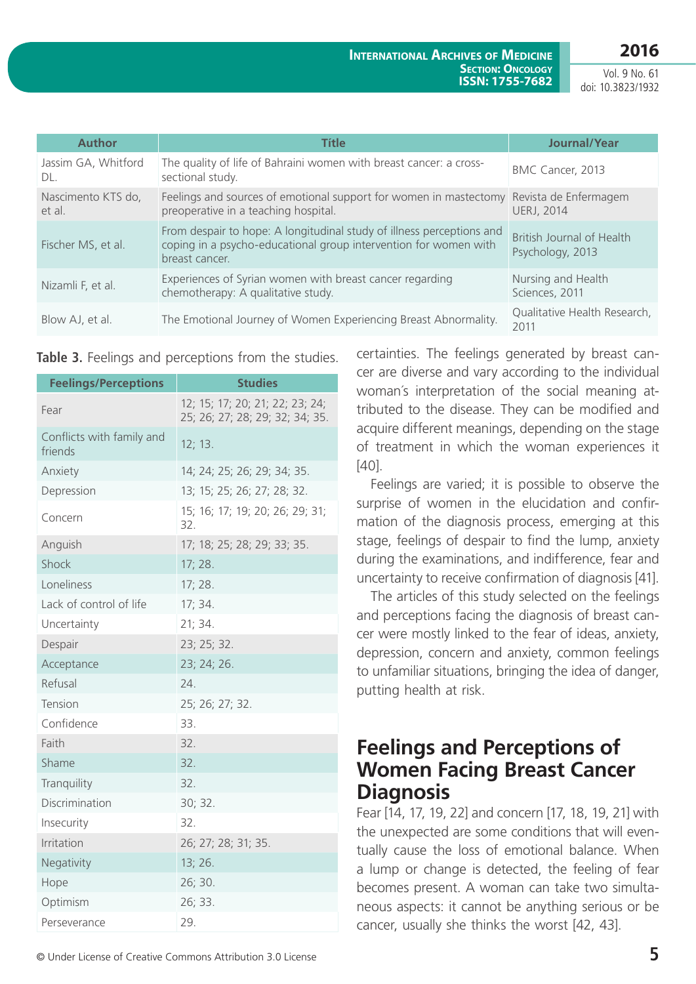**2016**

Vol. 9 No. 61 doi: 10.3823/1932

| <b>Author</b>                | <b>Títle</b>                                                                                                                                                | Journal/Year                                  |
|------------------------------|-------------------------------------------------------------------------------------------------------------------------------------------------------------|-----------------------------------------------|
| Jassim GA, Whitford<br>DL.   | The quality of life of Bahraini women with breast cancer: a cross-<br>sectional study.                                                                      | BMC Cancer, 2013                              |
| Nascimento KTS do,<br>et al. | Feelings and sources of emotional support for women in mastectomy Revista de Enfermagem<br>preoperative in a teaching hospital.                             | <b>UERJ, 2014</b>                             |
| Fischer MS, et al.           | From despair to hope: A longitudinal study of illness perceptions and<br>coping in a psycho-educational group intervention for women with<br>breast cancer. | British Journal of Health<br>Psychology, 2013 |
| Nizamli F, et al.            | Experiences of Syrian women with breast cancer regarding<br>chemotherapy: A qualitative study.                                                              | Nursing and Health<br>Sciences, 2011          |
| Blow AJ, et al.              | The Emotional Journey of Women Experiencing Breast Abnormality.                                                                                             | Qualitative Health Research,<br>2011          |

**Table 3.** Feelings and perceptions from the studies.

| <b>Feelings/Perceptions</b>          | <b>Studies</b>                                                     |
|--------------------------------------|--------------------------------------------------------------------|
| Fear                                 | 12; 15; 17; 20; 21; 22; 23; 24;<br>25; 26; 27; 28; 29; 32; 34; 35. |
| Conflicts with family and<br>friends | 12; 13.                                                            |
| Anxiety                              | 14; 24; 25; 26; 29; 34; 35.                                        |
| Depression                           | 13; 15; 25; 26; 27; 28; 32.                                        |
| Concern                              | 15; 16; 17; 19; 20; 26; 29; 31;<br>32.                             |
| Anguish                              | 17; 18; 25; 28; 29; 33; 35.                                        |
| Shock                                | 17; 28.                                                            |
| Loneliness                           | 17; 28.                                                            |
| Lack of control of life              | 17; 34.                                                            |
| Uncertainty                          | 21; 34.                                                            |
| Despair                              | 23; 25; 32.                                                        |
| Acceptance                           | 23; 24; 26.                                                        |
| Refusal                              | 24.                                                                |
| Tension                              | 25; 26; 27; 32.                                                    |
| Confidence                           | 33.                                                                |
| Faith                                | 32.                                                                |
| Shame                                | 32.                                                                |
| Tranquility                          | 32.                                                                |
| Discrimination                       | 30; 32.                                                            |
| Insecurity                           | 32.                                                                |
| Irritation                           | 26; 27; 28; 31; 35.                                                |
| Negativity                           | 13; 26.                                                            |
| Hope                                 | 26; 30.                                                            |
| Optimism                             | 26; 33.                                                            |
| Perseverance                         | 29.                                                                |

certainties. The feelings generated by breast cancer are diverse and vary according to the individual woman´s interpretation of the social meaning attributed to the disease. They can be modified and acquire different meanings, depending on the stage of treatment in which the woman experiences it [40].

Feelings are varied; it is possible to observe the surprise of women in the elucidation and confirmation of the diagnosis process, emerging at this stage, feelings of despair to find the lump, anxiety during the examinations, and indifference, fear and uncertainty to receive confirmation of diagnosis [41].

The articles of this study selected on the feelings and perceptions facing the diagnosis of breast cancer were mostly linked to the fear of ideas, anxiety, depression, concern and anxiety, common feelings to unfamiliar situations, bringing the idea of danger, putting health at risk.

## **Feelings and Perceptions of Women Facing Breast Cancer Diagnosis**

Fear [14, 17, 19, 22] and concern [17, 18, 19, 21] with the unexpected are some conditions that will eventually cause the loss of emotional balance. When a lump or change is detected, the feeling of fear becomes present. A woman can take two simultaneous aspects: it cannot be anything serious or be cancer, usually she thinks the worst [42, 43].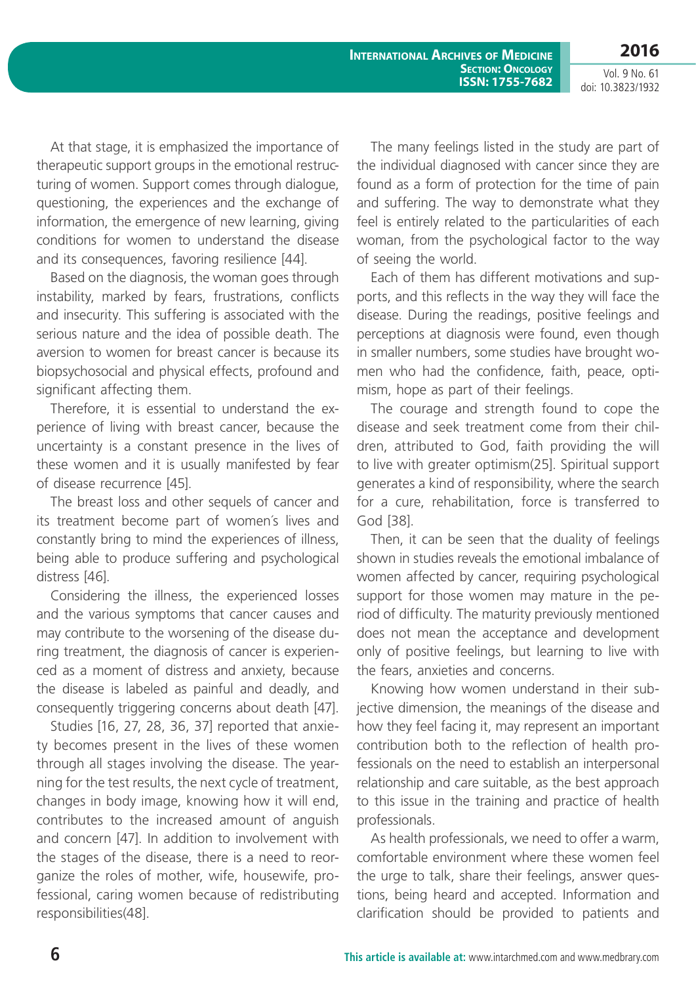**International Archives of Medicine SECTION: ONCOLOGY ISSN: 1755-7682** **2016**

Vol. 9 No. 61 doi: 10.3823/1932

At that stage, it is emphasized the importance of therapeutic support groups in the emotional restructuring of women. Support comes through dialogue, questioning, the experiences and the exchange of information, the emergence of new learning, giving conditions for women to understand the disease and its consequences, favoring resilience [44].

Based on the diagnosis, the woman goes through instability, marked by fears, frustrations, conflicts and insecurity. This suffering is associated with the serious nature and the idea of possible death. The aversion to women for breast cancer is because its biopsychosocial and physical effects, profound and significant affecting them.

Therefore, it is essential to understand the experience of living with breast cancer, because the uncertainty is a constant presence in the lives of these women and it is usually manifested by fear of disease recurrence [45].

The breast loss and other sequels of cancer and its treatment become part of women´s lives and constantly bring to mind the experiences of illness, being able to produce suffering and psychological distress [46].

Considering the illness, the experienced losses and the various symptoms that cancer causes and may contribute to the worsening of the disease during treatment, the diagnosis of cancer is experienced as a moment of distress and anxiety, because the disease is labeled as painful and deadly, and consequently triggering concerns about death [47].

Studies [16, 27, 28, 36, 37] reported that anxiety becomes present in the lives of these women through all stages involving the disease. The yearning for the test results, the next cycle of treatment, changes in body image, knowing how it will end, contributes to the increased amount of anguish and concern [47]. In addition to involvement with the stages of the disease, there is a need to reorganize the roles of mother, wife, housewife, professional, caring women because of redistributing responsibilities(48].

The many feelings listed in the study are part of the individual diagnosed with cancer since they are found as a form of protection for the time of pain and suffering. The way to demonstrate what they feel is entirely related to the particularities of each woman, from the psychological factor to the way of seeing the world.

Each of them has different motivations and supports, and this reflects in the way they will face the disease. During the readings, positive feelings and perceptions at diagnosis were found, even though in smaller numbers, some studies have brought women who had the confidence, faith, peace, optimism, hope as part of their feelings.

The courage and strength found to cope the disease and seek treatment come from their children, attributed to God, faith providing the will to live with greater optimism(25]. Spiritual support generates a kind of responsibility, where the search for a cure, rehabilitation, force is transferred to God [38].

Then, it can be seen that the duality of feelings shown in studies reveals the emotional imbalance of women affected by cancer, requiring psychological support for those women may mature in the period of difficulty. The maturity previously mentioned does not mean the acceptance and development only of positive feelings, but learning to live with the fears, anxieties and concerns.

Knowing how women understand in their subjective dimension, the meanings of the disease and how they feel facing it, may represent an important contribution both to the reflection of health professionals on the need to establish an interpersonal relationship and care suitable, as the best approach to this issue in the training and practice of health professionals.

As health professionals, we need to offer a warm, comfortable environment where these women feel the urge to talk, share their feelings, answer questions, being heard and accepted. Information and clarification should be provided to patients and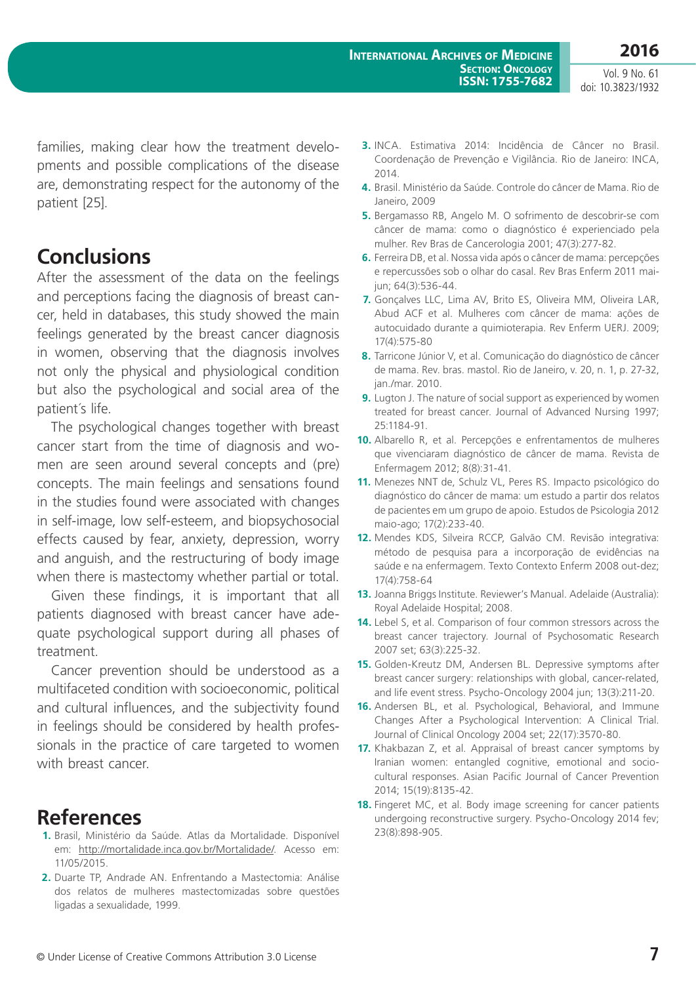families, making clear how the treatment developments and possible complications of the disease are, demonstrating respect for the autonomy of the patient [25].

## **Conclusions**

After the assessment of the data on the feelings and perceptions facing the diagnosis of breast cancer, held in databases, this study showed the main feelings generated by the breast cancer diagnosis in women, observing that the diagnosis involves not only the physical and physiological condition but also the psychological and social area of the patient´s life.

The psychological changes together with breast cancer start from the time of diagnosis and women are seen around several concepts and (pre) concepts. The main feelings and sensations found in the studies found were associated with changes in self-image, low self-esteem, and biopsychosocial effects caused by fear, anxiety, depression, worry and anguish, and the restructuring of body image when there is mastectomy whether partial or total.

Given these findings, it is important that all patients diagnosed with breast cancer have adequate psychological support during all phases of treatment.

Cancer prevention should be understood as a multifaceted condition with socioeconomic, political and cultural influences, and the subjectivity found in feelings should be considered by health professionals in the practice of care targeted to women with breast cancer.

### **References**

- **1.** Brasil, Ministério da Saúde. Atlas da Mortalidade. Disponível em: <http://mortalidade.inca.gov.br/Mortalidade/>. Acesso em: 11/05/2015.
- **2.** Duarte TP, Andrade AN. Enfrentando a Mastectomia: Análise dos relatos de mulheres mastectomizadas sobre questões ligadas a sexualidade, 1999.
- **3.** INCA. Estimativa 2014: Incidência de Câncer no Brasil. Coordenação de Prevenção e Vigilância. Rio de Janeiro: INCA, 2014.
- **4.** Brasil. Ministério da Saúde. Controle do câncer de Mama. Rio de Janeiro, 2009
- **5.** Bergamasso RB, Angelo M. O sofrimento de descobrir-se com câncer de mama: como o diagnóstico é experienciado pela mulher. Rev Bras de Cancerologia 2001; 47(3):277-82.
- **6.** Ferreira DB, et al. Nossa vida após o câncer de mama: percepções e repercussões sob o olhar do casal. Rev Bras Enferm 2011 maijun; 64(3):536-44.
- **7.** Gonçalves LLC, Lima AV, Brito ES, Oliveira MM, Oliveira LAR, Abud ACF et al. Mulheres com câncer de mama: ações de autocuidado durante a quimioterapia. Rev Enferm UERJ. 2009; 17(4):575-80
- **8.** Tarricone Júnior V, et al. Comunicação do diagnóstico de câncer de mama. Rev. bras. mastol. Rio de Janeiro, v. 20, n. 1, p. 27-32, jan./mar. 2010.
- **9.** Lugton J. The nature of social support as experienced by women treated for breast cancer. Journal of Advanced Nursing 1997; 25:1184-91.
- **10.** Albarello R, et al. Percepções e enfrentamentos de mulheres que vivenciaram diagnóstico de câncer de mama. Revista de Enfermagem 2012; 8(8):31-41.
- **11.** Menezes NNT de, Schulz VL, Peres RS. Impacto psicológico do diagnóstico do câncer de mama: um estudo a partir dos relatos de pacientes em um grupo de apoio. Estudos de Psicologia 2012 maio-ago; 17(2):233-40.
- **12.** Mendes KDS, Silveira RCCP, Galvão CM. Revisão integrativa: método de pesquisa para a incorporação de evidências na saúde e na enfermagem. Texto Contexto Enferm 2008 out-dez; 17(4):758-64
- **13.** Joanna Briggs Institute. Reviewer's Manual. Adelaide (Australia): Royal Adelaide Hospital; 2008.
- **14.** Lebel S, et al. Comparison of four common stressors across the breast cancer trajectory. Journal of Psychosomatic Research 2007 set; 63(3):225-32.
- **15.** Golden-Kreutz DM, Andersen BL. Depressive symptoms after breast cancer surgery: relationships with global, cancer-related, and life event stress. Psycho-Oncology 2004 jun; 13(3):211-20.
- **16.** Andersen BL, et al. Psychological, Behavioral, and Immune Changes After a Psychological Intervention: A Clinical Trial. Journal of Clinical Oncology 2004 set; 22(17):3570-80.
- **17.** Khakbazan Z, et al. Appraisal of breast cancer symptoms by Iranian women: entangled cognitive, emotional and sociocultural responses. Asian Pacific Journal of Cancer Prevention 2014; 15(19):8135-42.
- **18.** Fingeret MC, et al. Body image screening for cancer patients undergoing reconstructive surgery. Psycho-Oncology 2014 fev; 23(8):898-905.